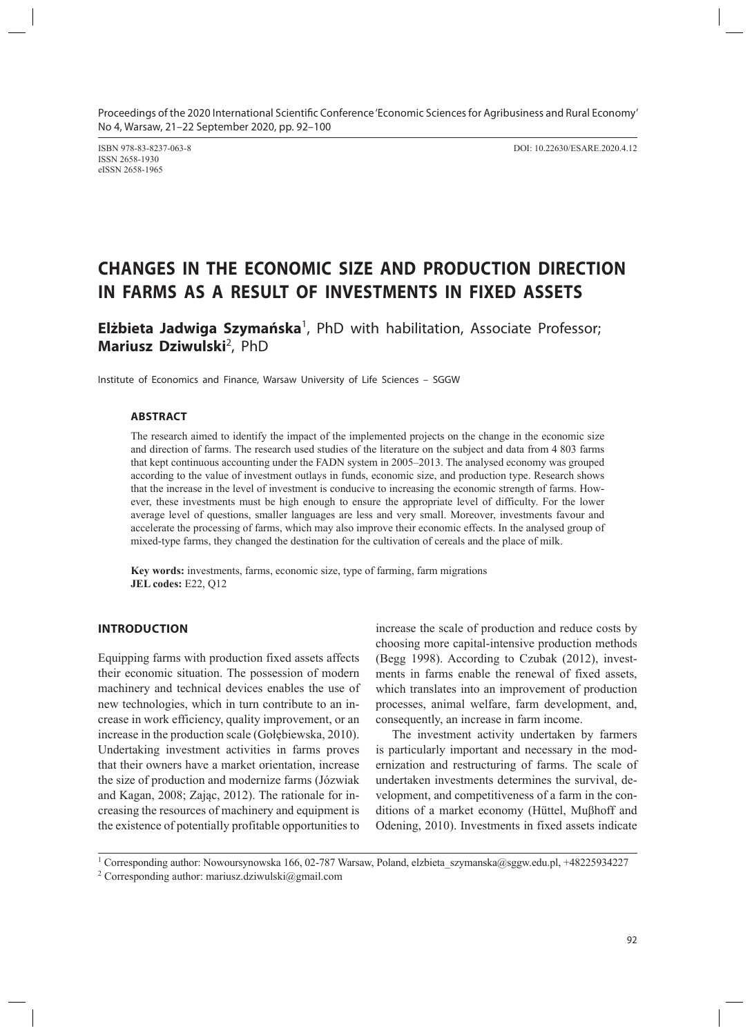ISSN 2658-1930 eISSN 2658-1965

ISBN 978-83-8237-063-8 DOI: 10.22630/ESARE.2020.4.12

# **CHANGES IN THE ECONOMIC SIZE AND PRODUCTION DIRECTION IN FARMS AS A RESULT OF INVESTMENTS IN FIXED ASSETS**

Elżbieta Jadwiga Szymańska<sup>1</sup>, PhD with habilitation, Associate Professor; Mariusz Dziwulski<sup>2</sup>, PhD

Institute of Economics and Finance, Warsaw University of Life Sciences – SGGW

#### **ABSTRACT**

The research aimed to identify the impact of the implemented projects on the change in the economic size and direction of farms. The research used studies of the literature on the subject and data from 4 803 farms that kept continuous accounting under the FADN system in 2005–2013. The analysed economy was grouped according to the value of investment outlays in funds, economic size, and production type. Research shows that the increase in the level of investment is conducive to increasing the economic strength of farms. However, these investments must be high enough to ensure the appropriate level of difficulty. For the lower average level of questions, smaller languages are less and very small. Moreover, investments favour and accelerate the processing of farms, which may also improve their economic effects. In the analysed group of mixed-type farms, they changed the destination for the cultivation of cereals and the place of milk.

**Key words:** investments, farms, economic size, type of farming, farm migrations **JEL codes:** E22, Q12

## **INTRODUCTION**

Equipping farms with production fixed assets affects their economic situation. The possession of modern machinery and technical devices enables the use of new technologies, which in turn contribute to an increase in work efficiency, quality improvement, or an increase in the production scale (Gołębiewska, 2010). Undertaking investment activities in farms proves that their owners have a market orientation, increase the size of production and modernize farms (Józwiak and Kagan, 2008; Zając, 2012). The rationale for increasing the resources of machinery and equipment is the existence of potentially profitable opportunities to

increase the scale of production and reduce costs by choosing more capital-intensive production methods (Begg 1998). According to Czubak (2012), investments in farms enable the renewal of fixed assets, which translates into an improvement of production processes, animal welfare, farm development, and, consequently, an increase in farm income.

The investment activity undertaken by farmers is particularly important and necessary in the modernization and restructuring of farms. The scale of undertaken investments determines the survival, development, and competitiveness of a farm in the conditions of a market economy (Hüttel, Muβhoff and Odening, 2010). Investments in fixed assets indicate

<sup>2</sup> Corresponding author: mariusz.dziwulski@gmail.com

<sup>1</sup> Corresponding author: Nowoursynowska 166, 02-787 Warsaw, Poland, elzbieta\_szymanska@sggw.edu.pl, +48225934227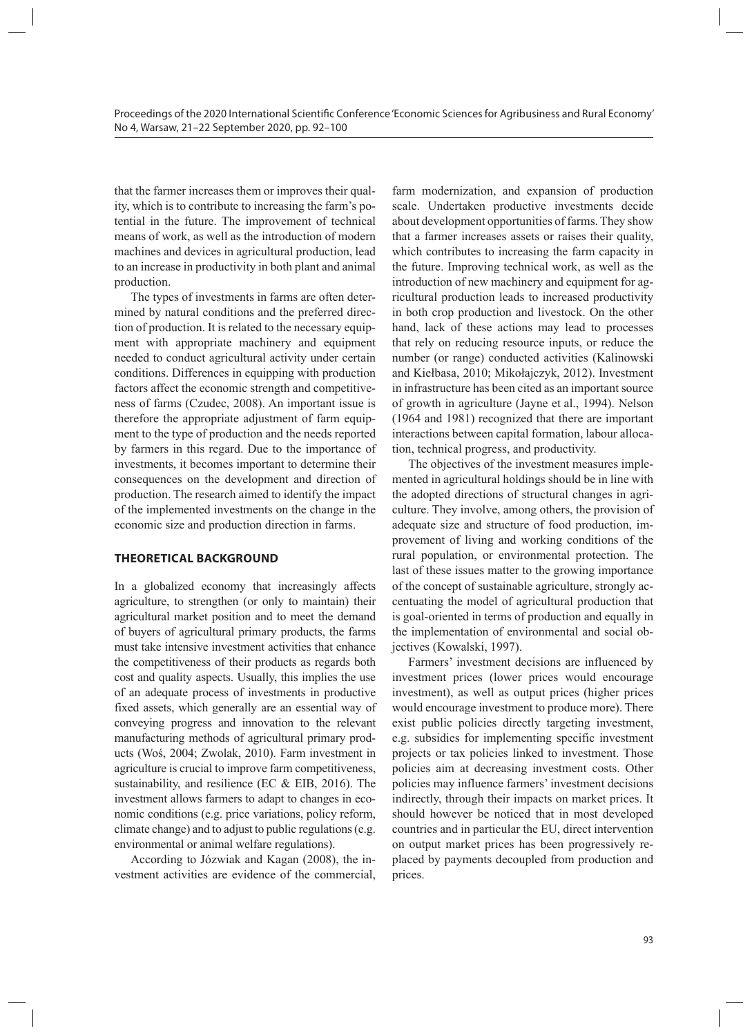that the farmer increases them or improves their quality, which is to contribute to increasing the farm's potential in the future. The improvement of technical means of work, as well as the introduction of modern machines and devices in agricultural production, lead to an increase in productivity in both plant and animal production.

The types of investments in farms are often determined by natural conditions and the preferred direction of production. It is related to the necessary equipment with appropriate machinery and equipment needed to conduct agricultural activity under certain conditions. Differences in equipping with production factors affect the economic strength and competitiveness of farms (Czudec, 2008). An important issue is therefore the appropriate adjustment of farm equipment to the type of production and the needs reported by farmers in this regard. Due to the importance of investments, it becomes important to determine their consequences on the development and direction of production. The research aimed to identify the impact of the implemented investments on the change in the economic size and production direction in farms.

#### **THEORETICAL BACKGROUND**

In a globalized economy that increasingly affects agriculture, to strengthen (or only to maintain) their agricultural market position and to meet the demand of buyers of agricultural primary products, the farms must take intensive investment activities that enhance the competitiveness of their products as regards both cost and quality aspects. Usually, this implies the use of an adequate process of investments in productive fixed assets, which generally are an essential way of conveying progress and innovation to the relevant manufacturing methods of agricultural primary products (Woś, 2004; Zwolak, 2010). Farm investment in agriculture is crucial to improve farm competitiveness, sustainability, and resilience (EC & EIB, 2016). The investment allows farmers to adapt to changes in economic conditions (e.g. price variations, policy reform, climate change) and to adjust to public regulations (e.g. environmental or animal welfare regulations).

According to Józwiak and Kagan (2008), the investment activities are evidence of the commercial,

farm modernization, and expansion of production scale. Undertaken productive investments decide about development opportunities of farms. They show that a farmer increases assets or raises their quality, which contributes to increasing the farm capacity in the future. Improving technical work, as well as the introduction of new machinery and equipment for agricultural production leads to increased productivity in both crop production and livestock. On the other hand, lack of these actions may lead to processes that rely on reducing resource inputs, or reduce the number (or range) conducted activities (Kalinowski and Kiełbasa, 2010; Mikołajczyk, 2012). Investment in infrastructure has been cited as an important source of growth in agriculture (Jayne et al., 1994). Nelson (1964 and 1981) recognized that there are important interactions between capital formation, labour allocation, technical progress, and productivity.

The objectives of the investment measures implemented in agricultural holdings should be in line with the adopted directions of structural changes in agriculture. They involve, among others, the provision of adequate size and structure of food production, improvement of living and working conditions of the rural population, or environmental protection. The last of these issues matter to the growing importance of the concept of sustainable agriculture, strongly accentuating the model of agricultural production that is goal-oriented in terms of production and equally in the implementation of environmental and social objectives (Kowalski, 1997).

Farmers' investment decisions are influenced by investment prices (lower prices would encourage investment), as well as output prices (higher prices would encourage investment to produce more). There exist public policies directly targeting investment, e.g. subsidies for implementing specific investment projects or tax policies linked to investment. Those policies aim at decreasing investment costs. Other policies may influence farmers' investment decisions indirectly, through their impacts on market prices. It should however be noticed that in most developed countries and in particular the EU, direct intervention on output market prices has been progressively replaced by payments decoupled from production and prices.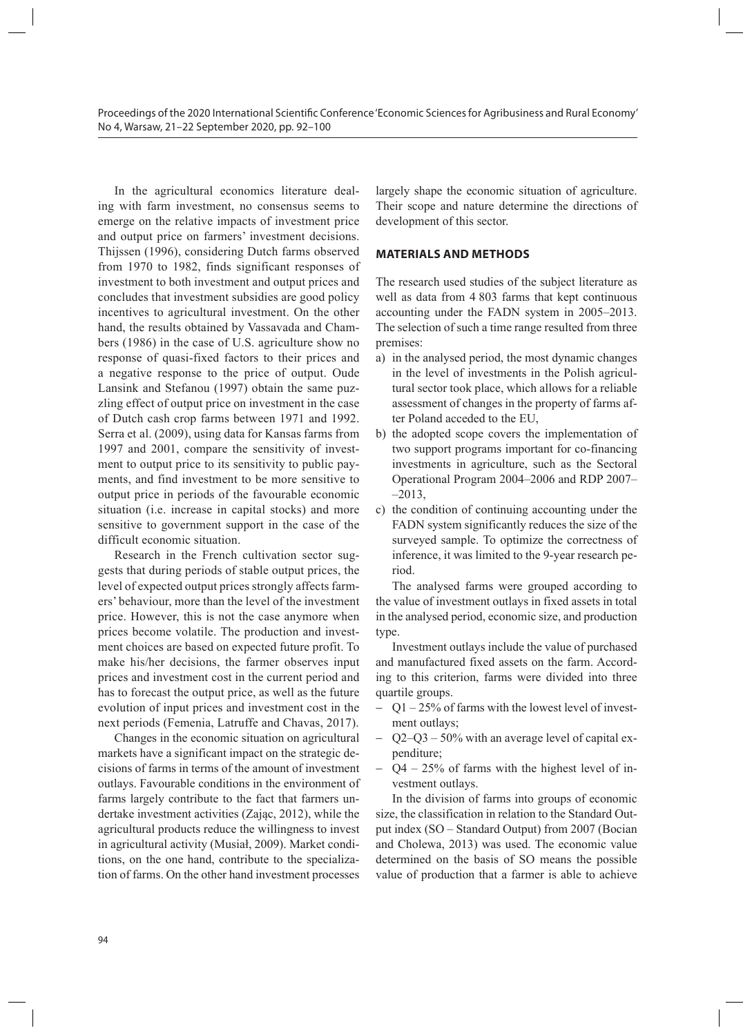In the agricultural economics literature dealing with farm investment, no consensus seems to emerge on the relative impacts of investment price and output price on farmers' investment decisions. Thijssen (1996), considering Dutch farms observed from 1970 to 1982, finds significant responses of investment to both investment and output prices and concludes that investment subsidies are good policy incentives to agricultural investment. On the other hand, the results obtained by Vassavada and Chambers (1986) in the case of U.S. agriculture show no response of quasi-fixed factors to their prices and a negative response to the price of output. Oude Lansink and Stefanou (1997) obtain the same puzzling effect of output price on investment in the case of Dutch cash crop farms between 1971 and 1992. Serra et al. (2009), using data for Kansas farms from 1997 and 2001, compare the sensitivity of investment to output price to its sensitivity to public payments, and find investment to be more sensitive to output price in periods of the favourable economic situation (i.e. increase in capital stocks) and more sensitive to government support in the case of the difficult economic situation.

Research in the French cultivation sector suggests that during periods of stable output prices, the level of expected output prices strongly affects farmers' behaviour, more than the level of the investment price. However, this is not the case anymore when prices become volatile. The production and investment choices are based on expected future profit. To make his/her decisions, the farmer observes input prices and investment cost in the current period and has to forecast the output price, as well as the future evolution of input prices and investment cost in the next periods (Femenia, Latruffe and Chavas, 2017).

Changes in the economic situation on agricultural markets have a significant impact on the strategic decisions of farms in terms of the amount of investment outlays. Favourable conditions in the environment of farms largely contribute to the fact that farmers undertake investment activities (Zając, 2012), while the agricultural products reduce the willingness to invest in agricultural activity (Musiał, 2009). Market conditions, on the one hand, contribute to the specialization of farms. On the other hand investment processes

largely shape the economic situation of agriculture. Their scope and nature determine the directions of development of this sector.

#### **MATERIALS AND METHODS**

The research used studies of the subject literature as well as data from 4 803 farms that kept continuous accounting under the FADN system in 2005–2013. The selection of such a time range resulted from three premises:

- a) in the analysed period, the most dynamic changes in the level of investments in the Polish agricultural sector took place, which allows for a reliable assessment of changes in the property of farms after Poland acceded to the EU,
- b) the adopted scope covers the implementation of two support programs important for co-financing investments in agriculture, such as the Sectoral Operational Program 2004–2006 and RDP 2007– –2013,
- c) the condition of continuing accounting under the FADN system significantly reduces the size of the surveyed sample. To optimize the correctness of inference, it was limited to the 9-year research period.

The analysed farms were grouped according to the value of investment outlays in fixed assets in total in the analysed period, economic size, and production type.

Investment outlays include the value of purchased and manufactured fixed assets on the farm. According to this criterion, farms were divided into three quartile groups.

- − Q1 25% of farms with the lowest level of investment outlays;
- − Q2–Q3 50% with an average level of capital expenditure;
- − Q4 25% of farms with the highest level of investment outlays.

In the division of farms into groups of economic size, the classification in relation to the Standard Output index (SO – Standard Output) from 2007 (Bocian and Cholewa, 2013) was used. The economic value determined on the basis of SO means the possible value of production that a farmer is able to achieve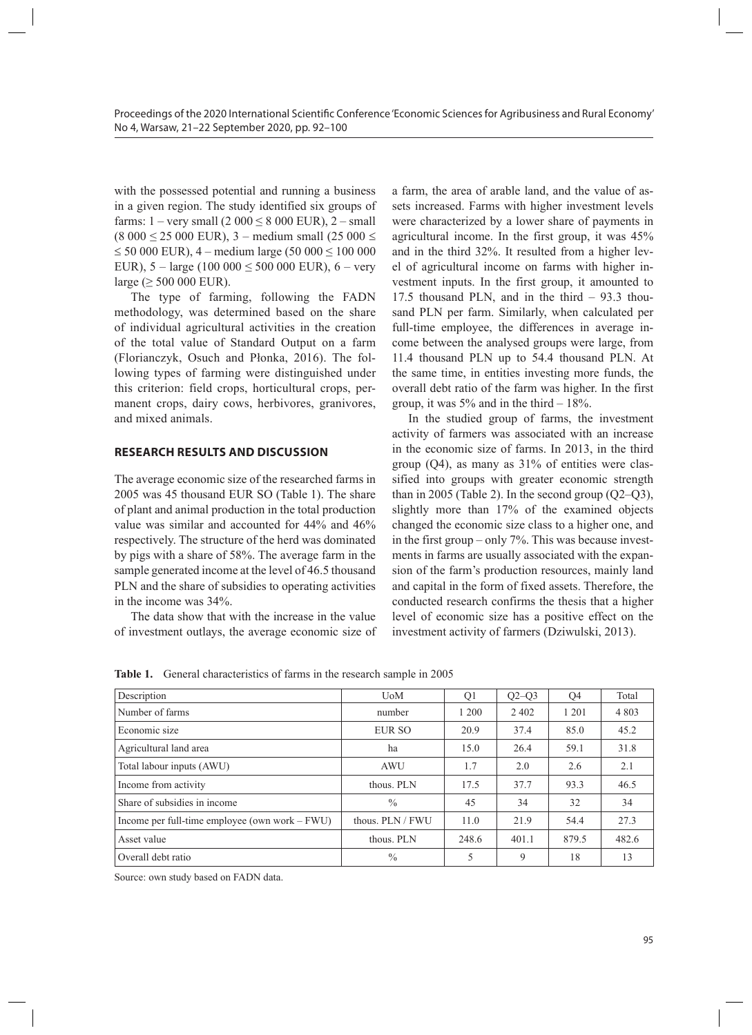with the possessed potential and running a business in a given region. The study identified six groups of farms:  $1 - \text{very small}$  (2 000  $\leq$  8 000 EUR), 2 – small  $(8000 \le 25000 \text{ EUR})$ , 3 – medium small  $(25000 \le$ ≤ 50 000 EUR), 4 – medium large (50 000 ≤ 100 000 EUR),  $5 - \text{large}$  (100 000  $\leq 500$  000 EUR),  $6 - \text{very}$ large ( $\geq$  500 000 EUR).

The type of farming, following the FADN methodology, was determined based on the share of individual agricultural activities in the creation of the total value of Standard Output on a farm (Florianczyk, Osuch and Płonka, 2016). The following types of farming were distinguished under this criterion: field crops, horticultural crops, permanent crops, dairy cows, herbivores, granivores, and mixed animals.

### **RESEARCH RESULTS AND DISCUSSION**

The average economic size of the researched farms in 2005 was 45 thousand EUR SO (Table 1). The share of plant and animal production in the total production value was similar and accounted for 44% and 46% respectively. The structure of the herd was dominated by pigs with a share of 58%. The average farm in the sample generated income at the level of 46.5 thousand PLN and the share of subsidies to operating activities in the income was 34%.

The data show that with the increase in the value of investment outlays, the average economic size of a farm, the area of arable land, and the value of assets increased. Farms with higher investment levels were characterized by a lower share of payments in agricultural income. In the first group, it was 45% and in the third 32%. It resulted from a higher level of agricultural income on farms with higher investment inputs. In the first group, it amounted to 17.5 thousand PLN, and in the third – 93.3 thousand PLN per farm. Similarly, when calculated per full-time employee, the differences in average income between the analysed groups were large, from 11.4 thousand PLN up to 54.4 thousand PLN. At the same time, in entities investing more funds, the overall debt ratio of the farm was higher. In the first group, it was  $5\%$  and in the third  $-18\%$ .

In the studied group of farms, the investment activity of farmers was associated with an increase in the economic size of farms. In 2013, in the third group  $(Q4)$ , as many as  $31\%$  of entities were classified into groups with greater economic strength than in 2005 (Table 2). In the second group  $(Q2-Q3)$ , slightly more than 17% of the examined objects changed the economic size class to a higher one, and in the first group – only 7%. This was because investments in farms are usually associated with the expansion of the farm's production resources, mainly land and capital in the form of fixed assets. Therefore, the conducted research confirms the thesis that a higher level of economic size has a positive effect on the investment activity of farmers (Dziwulski, 2013).

Table 1. General characteristics of farms in the research sample in 2005

| Description                                      | <b>U</b> oM      | Q1    | $Q2-Q3$ | Q4    | Total   |
|--------------------------------------------------|------------------|-------|---------|-------|---------|
| Number of farms                                  | number           | 1 200 | 2 4 0 2 | 1 201 | 4 8 0 3 |
| Economic size                                    | EUR SO           | 20.9  | 37.4    | 85.0  | 45.2    |
| Agricultural land area                           | ha               | 15.0  | 26.4    | 59.1  | 31.8    |
| Total labour inputs (AWU)                        | <b>AWU</b>       | 1.7   | 2.0     | 2.6   | 2.1     |
| Income from activity                             | thous. PLN       | 17.5  | 37.7    | 93.3  | 46.5    |
| Share of subsidies in income                     | $\frac{0}{0}$    | 45    | 34      | 32    | 34      |
| Income per full-time employee (own work $-FWU$ ) | thous. PLN / FWU | 11.0  | 21.9    | 54.4  | 27.3    |
| Asset value                                      | thous. PLN       | 248.6 | 401.1   | 879.5 | 482.6   |
| Overall debt ratio                               | $\frac{0}{0}$    | 5     | 9       | 18    | 13      |

Source: own study based on FADN data.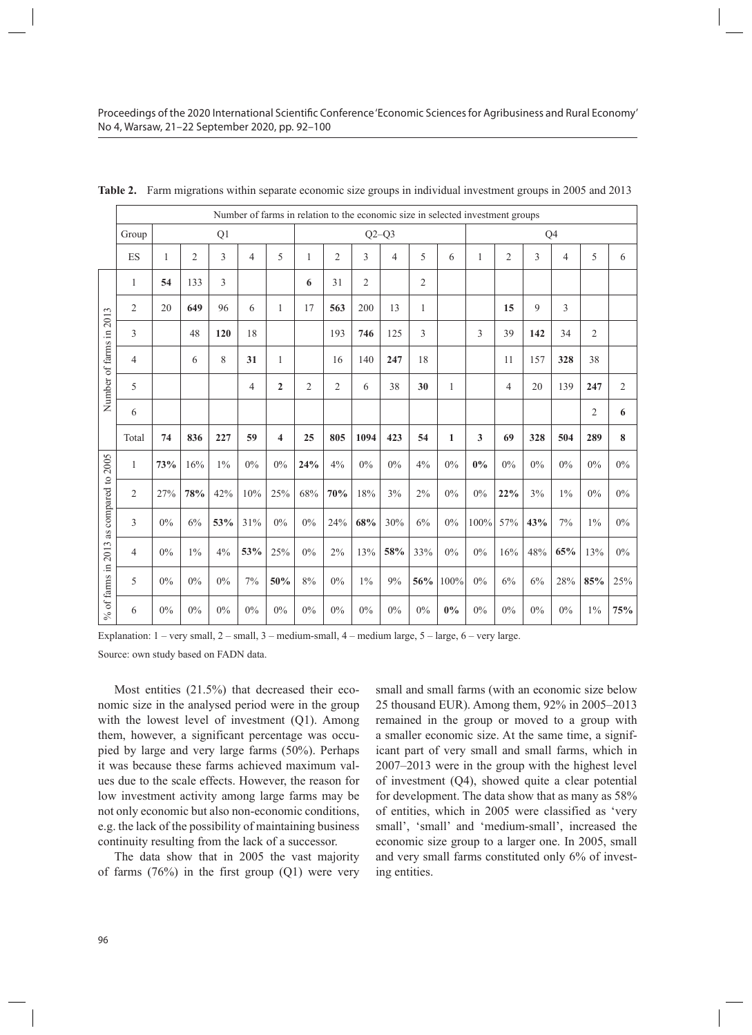|                         |                | Number of farms in relation to the economic size in selected investment groups |                |       |                |                         |     |                |                |         |                |              |       |                |     |       |                |                |  |
|-------------------------|----------------|--------------------------------------------------------------------------------|----------------|-------|----------------|-------------------------|-----|----------------|----------------|---------|----------------|--------------|-------|----------------|-----|-------|----------------|----------------|--|
|                         | Group          |                                                                                |                | Q1    |                |                         |     |                |                | $Q2-Q3$ |                |              | Q4    |                |     |       |                |                |  |
|                         | ES             | 1                                                                              | $\overline{2}$ | 3     | 4              | 5                       | 1   | $\overline{2}$ | 3              | 4       | 5              | 6            | 1     | $\overline{2}$ | 3   | 4     | 5              | 6              |  |
|                         | 1              | 54                                                                             | 133            | 3     |                |                         | 6   | 31             | $\overline{2}$ |         | $\overline{c}$ |              |       |                |     |       |                |                |  |
|                         | 2              | 20                                                                             | 649            | 96    | 6              | 1                       | 17  | 563            | 200            | 13      | 1              |              |       | 15             | 9   | 3     |                |                |  |
|                         | 3              |                                                                                | 48             | 120   | 18             |                         |     | 193            | 746            | 125     | 3              |              | 3     | 39             | 142 | 34    | $\overline{2}$ |                |  |
| Number of farms in 2013 | 4              |                                                                                | 6              | 8     | 31             | 1                       |     | 16             | 140            | 247     | 18             |              |       | 11             | 157 | 328   | 38             |                |  |
|                         | 5              |                                                                                |                |       | $\overline{4}$ | $\mathbf{2}$            | 2   | $\overline{2}$ | 6              | 38      | 30             | 1            |       | 4              | 20  | 139   | 247            | $\mathfrak{2}$ |  |
|                         | 6              |                                                                                |                |       |                |                         |     |                |                |         |                |              |       |                |     |       | $\overline{2}$ | 6              |  |
|                         | Total          | 74                                                                             | 836            | 227   | 59             | $\overline{\mathbf{4}}$ | 25  | 805            | 1094           | 423     | 54             | $\mathbf{1}$ | 3     | 69             | 328 | 504   | 289            | 8              |  |
|                         | $\mathbf{1}$   | 73%                                                                            | 16%            | $1\%$ | 0%             | 0%                      | 24% | 4%             | 0%             | 0%      | 4%             | 0%           | $0\%$ | 0%             | 0%  | 0%    | 0%             | $0\%$          |  |
|                         | $\overline{2}$ | 27%                                                                            | 78%            | 42%   | 10%            | 25%                     | 68% | 70%            | 18%            | 3%      | 2%             | 0%           | $0\%$ | 22%            | 3%  | $1\%$ | 0%             | $0\%$          |  |
| as compared to 2005     | 3              | 0%                                                                             | 6%             | 53%   | 31%            | 0%                      | 0%  | 24%            | 68%            | 30%     | 6%             | $0\%$        | 100%  | 57%            | 43% | 7%    | $1\%$          | $0\%$          |  |
| 2013                    | 4              | $0\%$                                                                          | $1\%$          | 4%    | 53%            | 25%                     | 0%  | 2%             | 13%            | 58%     | 33%            | $0\%$        | $0\%$ | 16%            | 48% | 65%   | 13%            | $0\%$          |  |
| $\%$ of farms in        | 5              | $0\%$                                                                          | 0%             | $0\%$ | 7%             | 50%                     | 8%  | 0%             | $1\%$          | 9%      | $56\%$         | 100%         | $0\%$ | 6%             | 6%  | 28%   | 85%            | 25%            |  |
|                         | 6              | 0%                                                                             | 0%             | 0%    | 0%             | 0%                      | 0%  | 0%             | 0%             | 0%      | 0%             | 0%           | 0%    | 0%             | 0%  | 0%    | $1\%$          | 75%            |  |

**Table 2.** Farm migrations within separate economic size groups in individual investment groups in 2005 and 2013

Explanation:  $1 - \text{very small}, 2 - \text{small}, 3 - \text{medium small}, 4 - \text{medium large}, 5 - \text{large}, 6 - \text{very large}.$ 

Source: own study based on FADN data.

Most entities (21.5%) that decreased their economic size in the analysed period were in the group with the lowest level of investment (Q1). Among them, however, a significant percentage was occupied by large and very large farms (50%). Perhaps it was because these farms achieved maximum values due to the scale effects. However, the reason for low investment activity among large farms may be not only economic but also non-economic conditions, e.g. the lack of the possibility of maintaining business continuity resulting from the lack of a successor.

The data show that in 2005 the vast majority of farms  $(76%)$  in the first group  $(Q1)$  were very small and small farms (with an economic size below 25 thousand EUR). Among them, 92% in 2005–2013 remained in the group or moved to a group with a smaller economic size. At the same time, a significant part of very small and small farms, which in 2007–2013 were in the group with the highest level of investment (Q4), showed quite a clear potential for development. The data show that as many as 58% of entities, which in 2005 were classified as 'very small', 'small' and 'medium-small', increased the economic size group to a larger one. In 2005, small and very small farms constituted only 6% of investing entities.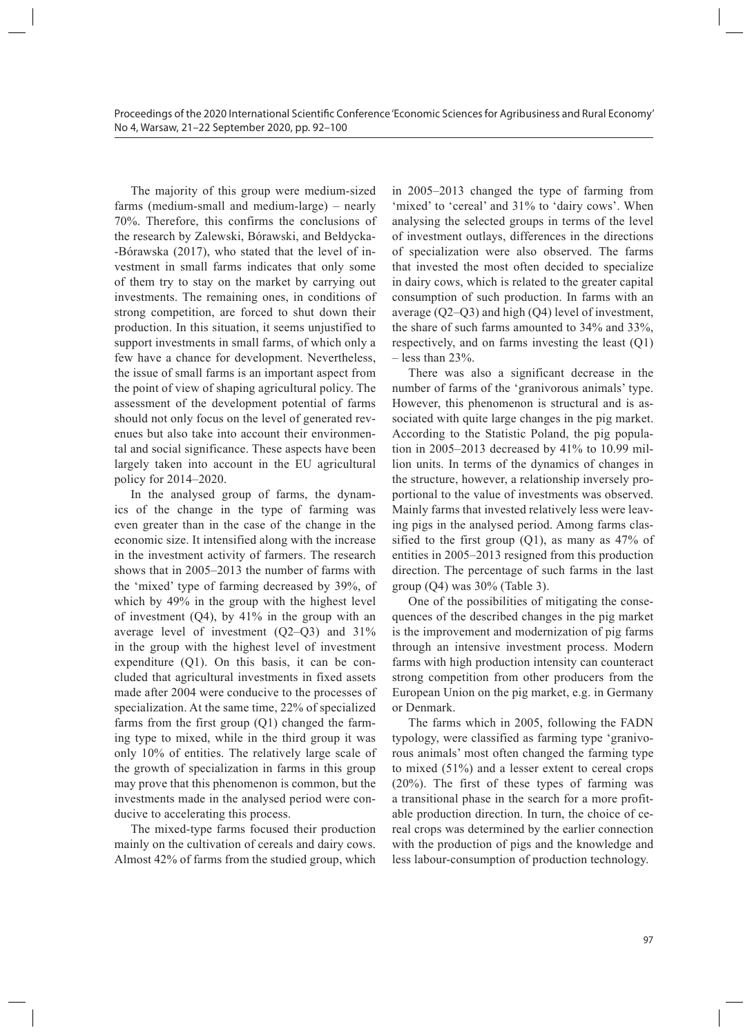The majority of this group were medium-sized farms (medium-small and medium-large) – nearly 70%. Therefore, this confirms the conclusions of the research by Zalewski, Bórawski, and Bełdycka- -Bórawska (2017), who stated that the level of investment in small farms indicates that only some of them try to stay on the market by carrying out investments. The remaining ones, in conditions of strong competition, are forced to shut down their production. In this situation, it seems unjustified to support investments in small farms, of which only a few have a chance for development. Nevertheless, the issue of small farms is an important aspect from the point of view of shaping agricultural policy. The assessment of the development potential of farms should not only focus on the level of generated revenues but also take into account their environmental and social significance. These aspects have been largely taken into account in the EU agricultural policy for 2014–2020.

In the analysed group of farms, the dynamics of the change in the type of farming was even greater than in the case of the change in the economic size. It intensified along with the increase in the investment activity of farmers. The research shows that in 2005–2013 the number of farms with the 'mixed' type of farming decreased by 39%, of which by 49% in the group with the highest level of investment  $(Q4)$ , by  $41\%$  in the group with an average level of investment (Q2–Q3) and 31% in the group with the highest level of investment expenditure (Q1). On this basis, it can be concluded that agricultural investments in fixed assets made after 2004 were conducive to the processes of specialization. At the same time, 22% of specialized farms from the first group (Q1) changed the farming type to mixed, while in the third group it was only 10% of entities. The relatively large scale of the growth of specialization in farms in this group may prove that this phenomenon is common, but the investments made in the analysed period were conducive to accelerating this process.

The mixed-type farms focused their production mainly on the cultivation of cereals and dairy cows. Almost 42% of farms from the studied group, which

in 2005–2013 changed the type of farming from 'mixed' to 'cereal' and 31% to 'dairy cows'. When analysing the selected groups in terms of the level of investment outlays, differences in the directions of specialization were also observed. The farms that invested the most often decided to specialize in dairy cows, which is related to the greater capital consumption of such production. In farms with an average (Q2–Q3) and high (Q4) level of investment, the share of such farms amounted to 34% and 33%, respectively, and on farms investing the least (Q1)  $-$  less than 23%.

There was also a significant decrease in the number of farms of the 'granivorous animals' type. However, this phenomenon is structural and is associated with quite large changes in the pig market. According to the Statistic Poland, the pig population in 2005–2013 decreased by 41% to 10.99 million units. In terms of the dynamics of changes in the structure, however, a relationship inversely proportional to the value of investments was observed. Mainly farms that invested relatively less were leaving pigs in the analysed period. Among farms classified to the first group  $(Q1)$ , as many as 47% of entities in 2005–2013 resigned from this production direction. The percentage of such farms in the last group  $(Q4)$  was  $30\%$  (Table 3).

One of the possibilities of mitigating the consequences of the described changes in the pig market is the improvement and modernization of pig farms through an intensive investment process. Modern farms with high production intensity can counteract strong competition from other producers from the European Union on the pig market, e.g. in Germany or Denmark.

The farms which in 2005, following the FADN typology, were classified as farming type 'granivorous animals' most often changed the farming type to mixed (51%) and a lesser extent to cereal crops (20%). The first of these types of farming was a transitional phase in the search for a more profitable production direction. In turn, the choice of cereal crops was determined by the earlier connection with the production of pigs and the knowledge and less labour-consumption of production technology.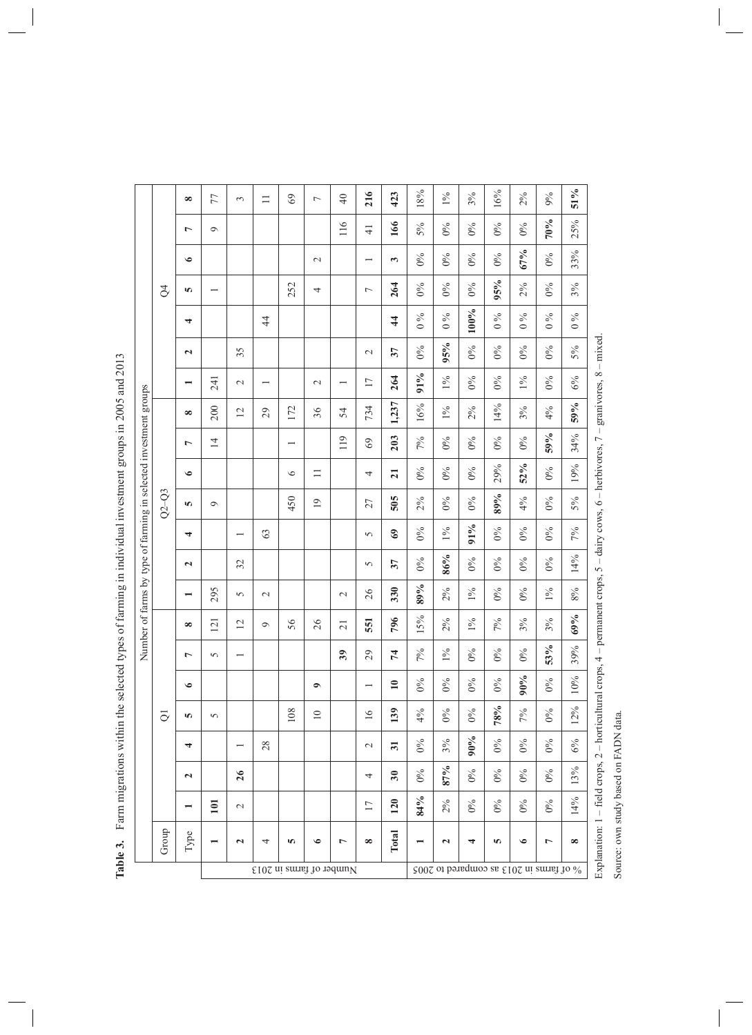|                                                                  | ₹              | $\infty$<br>$\overline{ }$<br>$\bullet$<br>S | 77<br>$\sigma$   | 3              | $\equiv$   | 69<br>252                | $\overline{ }$<br>$\mathcal{L}$<br>4 | $\overline{4}$<br>116    | 216<br>$\frac{1}{4}$<br>$\overline{ }$ | 423<br>166<br>3<br>264 | 18%<br>5%<br>$0\%$<br>$0\%$ | $1\%$<br>$0\%$<br>$0\%$<br>$0\%$ | 3%<br>$0\%$<br>$0\%$<br>$0\%$ | 16%<br>$0\%$<br>$0\%$<br>95%                                         | 2%<br>$0\%$<br>67%<br>2% | 9%<br>70%<br>$0\%$<br>$0\%$ | $51\%$<br>25%<br>33%<br>3% |                                                                                                                                       |
|------------------------------------------------------------------|----------------|----------------------------------------------|------------------|----------------|------------|--------------------------|--------------------------------------|--------------------------|----------------------------------------|------------------------|-----------------------------|----------------------------------|-------------------------------|----------------------------------------------------------------------|--------------------------|-----------------------------|----------------------------|---------------------------------------------------------------------------------------------------------------------------------------|
|                                                                  |                | 4                                            |                  |                | $\ddot{4}$ |                          |                                      |                          |                                        | $\overline{4}$         | $\%$<br>$\circ$             | $\%$<br>$\circ$                  | 100%                          | $\%$<br>$\circ$                                                      | $\%$<br>$\circ$          | $\%$<br>$\circ$             | $\frac{6}{6}$              |                                                                                                                                       |
|                                                                  |                | $\mathbf{z}$                                 |                  | 35             |            |                          |                                      |                          | $\mathcal{L}$                          | 37                     | $0\%$                       | 95%                              | $0\%$                         | $0\%$                                                                | $0\%$                    | $0\%$                       | 5%                         |                                                                                                                                       |
|                                                                  |                | $\overline{\phantom{0}}$                     | 241              | $\sim$         |            |                          | $\sim$                               | $\overline{\phantom{0}}$ | 17                                     | 264                    | 91%                         | $1\%$                            | $0\%$                         | $0\%$                                                                | $1\%$                    | $0\%$                       | 6%                         |                                                                                                                                       |
| Number of farms by type of farming in selected investment groups |                | $\infty$                                     | 200              | $\overline{2}$ | 29         | 172                      | 36                                   | 54                       | 734                                    | 1,237                  | 16%                         | $1\%$                            | 2%                            | $14\%$                                                               | 3%                       | 4%                          | 59%                        |                                                                                                                                       |
|                                                                  |                | $\overline{ }$                               | $\overline{4}$   |                |            | $\overline{\phantom{0}}$ |                                      | 119                      | 69                                     | 203                    | 7%                          | $0\%$                            | $0\%$                         | $0\%$                                                                | $0\%$                    | 59%                         | 34%                        |                                                                                                                                       |
|                                                                  | $Q2-Q3$        | $\bullet$                                    |                  |                |            | $\circ$                  | $\equiv$                             |                          | 4                                      | $\overline{21}$        | $0\%$                       | $0\%$                            | $0\%$                         | 29%                                                                  | 52%                      | $0\%$                       | 19%                        |                                                                                                                                       |
|                                                                  |                | m                                            | $\sigma$         |                |            | 450                      | $\overline{19}$                      |                          | 27                                     | 505                    | 2%                          | $0\%$                            | $0\%$                         | 89%                                                                  | 4%                       | $0\%$                       | 5%                         |                                                                                                                                       |
|                                                                  |                | 4                                            |                  |                | 63         |                          |                                      |                          | $\sigma$                               | $\Im$                  | $0\%$                       | $1\%$                            | 91%                           | $0\%$                                                                | $0\%$                    | $0\%$                       | 7%                         |                                                                                                                                       |
|                                                                  |                | $\mathbf{r}$                                 |                  | 32             |            |                          |                                      |                          | $\sigma$                               | 37                     | $0\%$                       | 86%                              | $0\%$                         | $0\%$                                                                | $0\%$                    | $0\%$                       | 14%                        |                                                                                                                                       |
|                                                                  |                |                                              | 295              | 5              | $\sim$     |                          |                                      | $\sim$                   | 26                                     | 330                    | 89%                         | 2%                               | $1\%$                         | $0\%$                                                                | $0\%$                    | $1\%$                       | $8\%$                      |                                                                                                                                       |
|                                                                  |                | $\infty$                                     | $\overline{2}$   | $\overline{c}$ | $\circ$    | 56                       | 26                                   | $\overline{21}$          | 551                                    | 796                    | 15%                         | 2%                               | $1\%$                         | 7%                                                                   | 3%                       | 3%                          | 69%                        |                                                                                                                                       |
|                                                                  |                | $\overline{ }$                               | 5                |                |            |                          |                                      | 39                       | 29                                     | 74                     | 7%                          | $1\%$                            | $0\%$                         | $0\%$                                                                | $0\%$                    | 53%                         | 39%                        |                                                                                                                                       |
|                                                                  |                | $\bullet$                                    |                  |                |            |                          | $\bullet$                            |                          | $\overline{\phantom{0}}$               | $\mathbf{10}$          | $0\%$                       | $0\%$                            | $0\%$                         | $0\%$                                                                | $90\%$                   | $0\%$                       | 10%                        |                                                                                                                                       |
|                                                                  | $\overline{O}$ | S                                            | 5                |                |            | 108                      | $\Xi$                                |                          | $\overline{16}$                        | 139                    | 4%                          | $0\%$                            | $0\%$                         | 78%                                                                  | $7\%$                    | $0\%$                       | 12%                        |                                                                                                                                       |
|                                                                  |                | 4                                            |                  |                | 28         |                          |                                      |                          | $\mathcal{L}$                          | $\overline{31}$        | $0\%$                       | $3\%$                            | $90\%$                        | $0\%$                                                                | $0\%$                    | $0\%$                       | $6\%$                      |                                                                                                                                       |
|                                                                  |                | $\overline{\mathbf{c}}$                      |                  | 26             |            |                          |                                      |                          | 4                                      | 30                     | $0\%$                       | 87%                              | $0\%$                         | $0\%$                                                                | $0\%$                    | $0\%$                       | 13%                        |                                                                                                                                       |
|                                                                  |                |                                              | $\overline{101}$ | $\mathbb{C}^1$ |            |                          |                                      |                          | $\overline{17}$                        | <b>120</b>             | 84%                         | 2%                               | $0\%$                         | $0\%$                                                                | $0\%$                    | $0\%$                       | 14%                        |                                                                                                                                       |
|                                                                  | Group          | Type                                         |                  | $\mathbf{z}$   | 4          | 5                        | $\bullet$                            | L                        | $\infty$                               | Total                  |                             | $\mathbf{z}$                     | 4                             | S                                                                    | $\bullet$                | $\overline{ }$              | $\infty$                   | Explanation: 1 - field crops, 2 - horticultural crops, 4 - permanent crops, 5 - dairy cows, 6 - herbivores, 7 - granivores, 8 - mixed |
|                                                                  |                |                                              |                  |                |            |                          |                                      | Number of farms in 2013  |                                        |                        |                             |                                  |                               | $\frac{1}{2000}$ of farms in 2013 as $\epsilon$ 102 ai emred to 2005 |                          |                             |                            |                                                                                                                                       |

Table 3. Farm migrations within the selected types of farming in individual investment groups in 2005 and 2013 **Table 3.** Farm migrations within the selected types of farming in individual investment groups in 2005 and 2013

 $^{-}$ 

 $\begin{array}{c} \begin{array}{c} \begin{array}{c} \begin{array}{c} \end{array} \end{array} \end{array} \end{array} \end{array}$ 

Source: own study based on FADN data. Source: own study based on FADN data.

 $\begin{array}{c} \begin{array}{c} \begin{array}{c} \end{array} \\ \begin{array}{c} \end{array} \end{array} \end{array}$  $\overline{\phantom{a}}$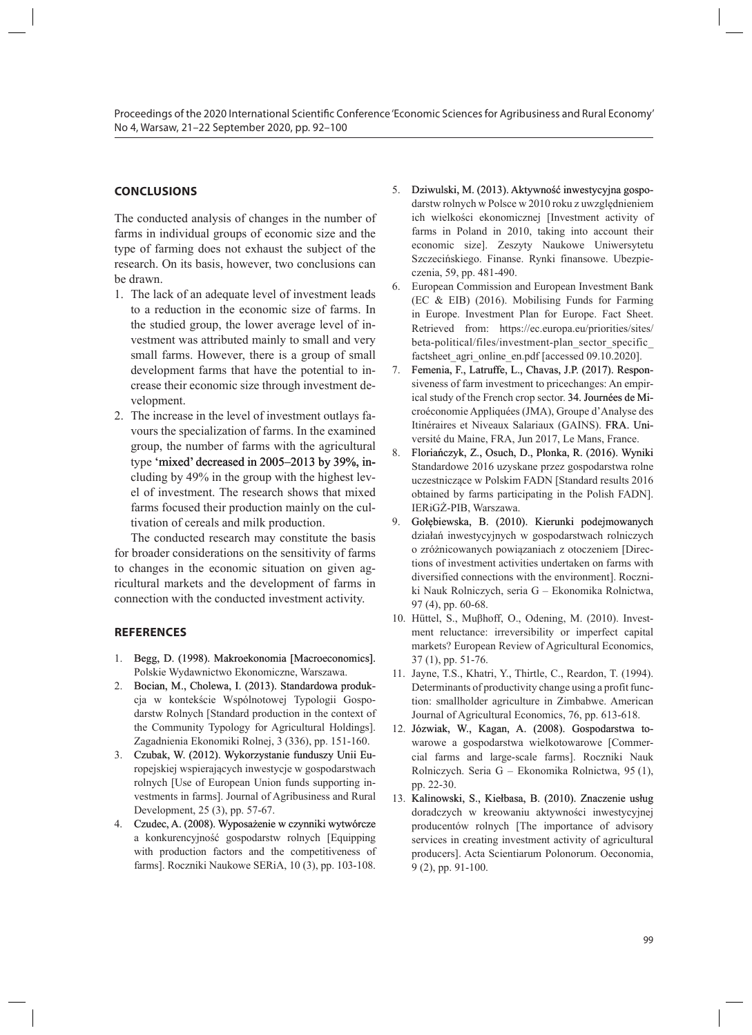# **CONCLUSIONS**

The conducted analysis of changes in the number of farms in individual groups of economic size and the type of farming does not exhaust the subject of the research. On its basis, however, two conclusions can be drawn.

- 1. The lack of an adequate level of investment leads to a reduction in the economic size of farms. In the studied group, the lower average level of investment was attributed mainly to small and very small farms. However, there is a group of small development farms that have the potential to increase their economic size through investment development.
- 2. The increase in the level of investment outlays favours the specialization of farms. In the examined group, the number of farms with the agricultural type 'mixed' decreased in 2005–2013 by 39%, including by 49% in the group with the highest level of investment. The research shows that mixed farms focused their production mainly on the cultivation of cereals and milk production.

The conducted research may constitute the basis for broader considerations on the sensitivity of farms to changes in the economic situation on given agricultural markets and the development of farms in connection with the conducted investment activity.

#### **REFERENCES**

- 1. Begg, D. (1998). Makroekonomia [Macroeconomics]. Polskie Wydawnictwo Ekonomiczne, Warszawa.
- 2. Bocian, M., Cholewa, I. (2013). Standardowa produkcja w kontekście Wspólnotowej Typologii Gospodarstw Rolnych [Standard production in the context of the Community Typology for Agricultural Holdings]. Zagadnienia Ekonomiki Rolnej, 3 (336), pp. 151-160.
- 3. Czubak, W. (2012). Wykorzystanie funduszy Unii Europejskiej wspierających inwestycje w gospodarstwach rolnych [Use of European Union funds supporting investments in farms]. Journal of Agribusiness and Rural Development, 25 (3), pp. 57-67.
- Czudec, A. (2008). Wyposażenie w czynniki wytwórcze a konkurencyjność gospodarstw rolnych [Equipping with production factors and the competitiveness of farms]. Roczniki Naukowe SERiA, 10 (3), pp. 103-108.
- 5. Dziwulski, M. (2013). Aktywność inwestycyjna gospodarstw rolnych w Polsce w 2010 roku z uwzględnieniem ich wielkości ekonomicznej [Investment activity of farms in Poland in 2010, taking into account their economic size]. Zeszyty Naukowe Uniwersytetu Szczecińskiego. Finanse. Rynki finansowe. Ubezpieczenia, 59, pp. 481-490.
- 6. European Commission and European Investment Bank (EC & EIB) (2016). Mobilising Funds for Farming in Europe. Investment Plan for Europe. Fact Sheet. Retrieved from: https://ec.europa.eu/priorities/sites/ beta-political/files/investment-plan\_sector\_specific\_ factsheet agri online en.pdf [accessed 09.10.2020].
- 7. Femenia, F., Latruffe, L., Chavas, J.P. (2017). Responsiveness of farm investment to pricechanges: An empirical study of the French crop sector. 34. Journées de Microéconomie Appliquées (JMA), Groupe d'Analyse des Itinéraires et Niveaux Salariaux (GAINS). FRA. Université du Maine, FRA, Jun 2017, Le Mans, France.
- 8. Floriańczyk, Z., Osuch, D., Płonka, R. (2016). Wyniki Standardowe 2016 uzyskane przez gospodarstwa rolne uczestniczące w Polskim FADN [Standard results 2016 obtained by farms participating in the Polish FADN]. IERiGŻ-PIB, Warszawa.
- 9. Gołębiewska, B. (2010). Kierunki podejmowanych działań inwestycyjnych w gospodarstwach rolniczych o zróżnicowanych powiązaniach z otoczeniem [Directions of investment activities undertaken on farms with diversified connections with the environment]. Roczniki Nauk Rolniczych, seria G – Ekonomika Rolnictwa, 97 (4), pp. 60-68.
- 10. Hüttel, S., Muβhoff, O., Odening, M. (2010). Investment reluctance: irreversibility or imperfect capital markets? European Review of Agricultural Economics, 37 (1), pp. 51-76.
- 11. Jayne, T.S., Khatri, Y., Thirtle, C., Reardon, T. (1994). Determinants of productivity change using a profit function: smallholder agriculture in Zimbabwe. American Journal of Agricultural Economics, 76, pp. 613-618.
- 12. Józwiak, W., Kagan, A. (2008). Gospodarstwa towarowe a gospodarstwa wielkotowarowe [Commercial farms and large-scale farms]. Roczniki Nauk Rolniczych. Seria G – Ekonomika Rolnictwa, 95 (1), pp. 22-30.
- 13. Kalinowski, S., Kiełbasa, B. (2010). Znaczenie usług doradczych w kreowaniu aktywności inwestycyjnej producentów rolnych [The importance of advisory services in creating investment activity of agricultural producers]. Acta Scientiarum Polonorum. Oeconomia, 9 (2), pp. 91-100.